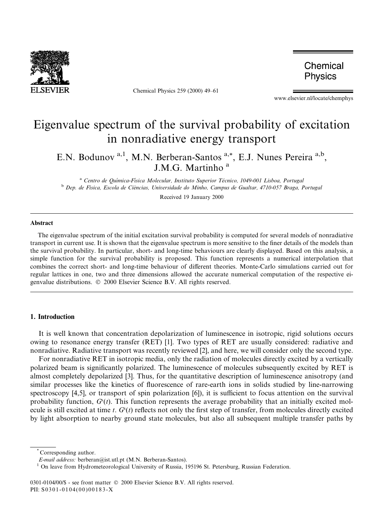

Chemical Physics 259 (2000) 49-61

Chemical Physics

www.elsevier.nl/locate/chemphys

# Eigenvalue spectrum of the survival probability of excitation in nonradiative energy transport

E.N. Bodunov<sup>a, 1</sup>, M.N. Berberan-Santos<sup>a,\*</sup>, E.J. Nunes Pereira<sup>a,b</sup>, J.M.G. Martinho<sup>a</sup>

<sup>a</sup> Centro de Química-Física Molecular, Instituto Superior Técnico, 1049-001 Lisboa, Portugal b Dep. de Física, Escola de Ciências, Universidade do Minho, Campus de Gualtar, 4710-057 Braga, Portugal

Received 19 January 2000

# Abstract

The eigenvalue spectrum of the initial excitation survival probability is computed for several models of nonradiative transport in current use. It is shown that the eigenvalue spectrum is more sensitive to the finer details of the models than the survival probability. In particular, short- and long-time behaviours are clearly displayed. Based on this analysis, a simple function for the survival probability is proposed. This function represents a numerical interpolation that combines the correct short- and long-time behaviour of different theories. Monte-Carlo simulations carried out for regular lattices in one, two and three dimensions allowed the accurate numerical computation of the respective eigenvalue distributions.  $© 2000 Elsevier Science B.V. All rights reserved.$ 

# 1. Introduction

It is well known that concentration depolarization of luminescence in isotropic, rigid solutions occurs owing to resonance energy transfer (RET) [1]. Two types of RET are usually considered: radiative and nonradiative. Radiative transport was recently reviewed [2], and here, we will consider only the second type.

For nonradiative RET in isotropic media, only the radiation of molecules directly excited by a vertically polarized beam is significantly polarized. The luminescence of molecules subsequently excited by RET is almost completely depolarized [3]. Thus, for the quantitative description of luminescence anisotropy (and similar processes like the kinetics of fluorescence of rare-earth ions in solids studied by line-narrowing spectroscopy [4,5], or transport of spin polarization [6]), it is sufficient to focus attention on the survival probability function,  $G^{s}(t)$ . This function represents the average probability that an initially excited molecule is still excited at time t.  $G<sup>s</sup>(t)$  reflects not only the first step of transfer, from molecules directly excited by light absorption to nearby ground state molecules, but also all subsequent multiple transfer paths by

Corresponding author.

*E-mail address:* berberan@ist.utl.pt (M.N. Berberan-Santos).<br><sup>1</sup> On leave from Hydrometeorological University of Russia, 195196 St. Petersburg, Russian Federation.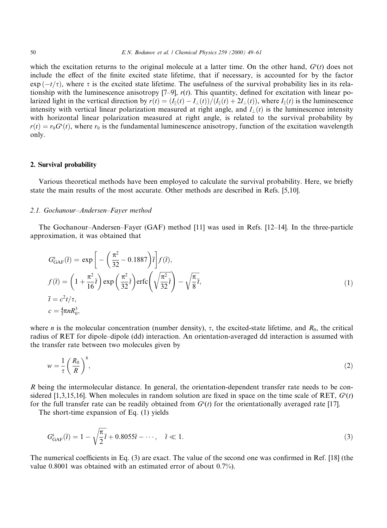which the excitation returns to the original molecule at a latter time. On the other hand,  $G<sup>s</sup>(t)$  does not include the effect of the finite excited state lifetime, that if necessary, is accounted for by the factor  $\exp(-t/\tau)$ , where  $\tau$  is the excited state lifetime. The usefulness of the survival probability lies in its relationship with the luminescence anisotropy  $[7-9]$ ,  $r(t)$ . This quantity, defined for excitation with linear polarized light in the vertical direction by  $r(t) = (I_{\parallel}(t) - I_{\perp}(t))/(I_{\parallel}(t) + 2I_{\perp}(t))$ , where  $I_{\parallel}(t)$  is the luminescence intensity with vertical linear polarization measured at right angle, and  $I_1(t)$  is the luminescence intensity with horizontal linear polarization measured at right angle, is related to the survival probability by  $r(t) = r_0G<sup>s</sup>(t)$ , where  $r_0$  is the fundamental luminescence anisotropy, function of the excitation wavelength only.

### 2. Survival probability

Various theoretical methods have been employed to calculate the survival probability. Here, we briefly state the main results of the most accurate. Other methods are described in Refs. [5,10].

#### 2.1. Gochanour-Andersen-Fayer method

The Gochanour-Andersen-Fayer (GAF) method  $[11]$  was used in Refs.  $[12-14]$ . In the three-particle approximation, it was obtained that

$$
G_{\text{GAF}}^{s}(\overline{t}) = \exp\bigg[-\bigg(\frac{\pi^{2}}{32} - 0.1887\bigg)\overline{t}\bigg]f(\overline{t}),
$$
  
\n
$$
f(\overline{t}) = \bigg(1 + \frac{\pi^{2}}{16}\overline{t}\bigg) \exp\bigg(\frac{\pi^{2}}{32}\overline{t}\bigg) \text{erfc}\bigg(\sqrt{\frac{\pi^{2}}{32}\overline{t}}\bigg) - \sqrt{\frac{\pi}{8}}\overline{t},
$$
  
\n
$$
\overline{t} = c^{2}t/\tau,
$$
  
\n
$$
c = \frac{4}{3}\pi nR_{0}^{3},
$$
\n(1)

where *n* is the molecular concentration (number density),  $\tau$ , the excited-state lifetime, and  $R_0$ , the critical radius of RET for dipole-dipole (dd) interaction. An orientation-averaged dd interaction is assumed with the transfer rate between two molecules given by

$$
w = \frac{1}{\tau} \left(\frac{R_0}{R}\right)^6,\tag{2}
$$

R being the intermolecular distance. In general, the orientation-dependent transfer rate needs to be considered [1,3,15,16]. When molecules in random solution are fixed in space on the time scale of RET,  $G(t)$ for the full transfer rate can be readily obtained from  $G<sup>s</sup>(t)$  for the orientationally averaged rate [17].

The short-time expansion of Eq. (1) yields

$$
G_{\text{GAF}}^{s}(\overline{t}) = 1 - \sqrt{\frac{\pi}{2}} \overline{t} + 0.8055 \overline{t} - \dots, \quad \overline{t} \ll 1. \tag{3}
$$

The numerical coefficients in Eq.  $(3)$  are exact. The value of the second one was confirmed in Ref. [18] (the value 0.8001 was obtained with an estimated error of about 0.7%).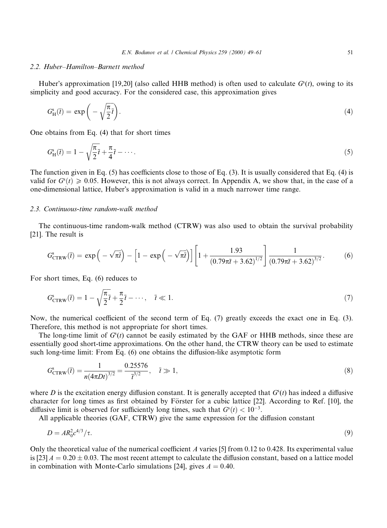## 2.2. Huber-Hamilton-Barnett method

Huber's approximation [19,20] (also called HHB method) is often used to calculate  $G<sup>s</sup>(t)$ , owing to its simplicity and good accuracy. For the considered case, this approximation gives

$$
G_{\rm H}^{\rm s}(\bar{t}) = \exp\bigg(-\sqrt{\frac{\pi}{2}\bar{t}}\bigg). \tag{4}
$$

One obtains from Eq. (4) that for short times

$$
G_{\rm H}^{\rm s}(\overline{t}) = 1 - \sqrt{\frac{\pi}{2}} \overline{t} + \frac{\pi}{4} \overline{t} - \cdots. \tag{5}
$$

The function given in Eq. (5) has coefficients close to those of Eq. (3). It is usually considered that Eq. (4) is valid for  $G<sup>s</sup>(t) \ge 0.05$ . However, this is not always correct. In Appendix A, we show that, in the case of a one-dimensional lattice, Huber's approximation is valid in a much narrower time range.

# 2.3. Continuous-time random-walk method

The continuous-time random-walk method (CTRW) was also used to obtain the survival probability [21]. The result is

$$
G_{\text{CTRW}}^s(\vec{t}) = \exp\left(-\sqrt{\pi \vec{t}}\right) - \left[1 - \exp\left(-\sqrt{\pi \vec{t}}\right)\right] \left[1 + \frac{1.93}{\left(0.79\pi \vec{t} + 3.62\right)^{1/2}}\right] \frac{1}{\left(0.79\pi \vec{t} + 3.62\right)^{3/2}}.\tag{6}
$$

For short times, Eq. (6) reduces to

$$
G_{\text{CTRW}}^s(\overline{t}) = 1 - \sqrt{\frac{\pi}{2}} \overline{t} + \frac{\pi}{2} \overline{t} - \cdots, \quad \overline{t} \ll 1. \tag{7}
$$

Now, the numerical coefficient of the second term of Eq. (7) greatly exceeds the exact one in Eq. (3). Therefore, this method is not appropriate for short times.

The long-time limit of  $G<sup>s</sup>(t)$  cannot be easily estimated by the GAF or HHB methods, since these are essentially good short-time approximations. On the other hand, the CTRW theory can be used to estimate such long-time limit: From Eq.  $(6)$  one obtains the diffusion-like asymptotic form

$$
G_{\text{CTRW}}^s(\bar{t}) = \frac{1}{n(4\pi Dt)^{3/2}} = \frac{0.25576}{\bar{t}^{3/2}}, \quad \bar{t} \gg 1,
$$
\n(8)

where D is the excitation energy diffusion constant. It is generally accepted that  $G<sup>s</sup>(t)$  has indeed a diffusive character for long times as first obtained by Förster for a cubic lattice [22]. According to Ref. [10], the diffusive limit is observed for sufficiently long times, such that  $G<sup>s</sup>(t) < 10<sup>-3</sup>$ .

All applicable theories  $(GAF, CTRW)$  give the same expression for the diffusion constant

$$
D = AR_0^2 c^{4/3} / \tau.
$$
 (9)

Only the theoretical value of the numerical coefficient A varies [5] from 0.12 to 0.428. Its experimental value is  $[23] A = 0.20 \pm 0.03$ . The most recent attempt to calculate the diffusion constant, based on a lattice model in combination with Monte-Carlo simulations [24], gives  $A = 0.40$ .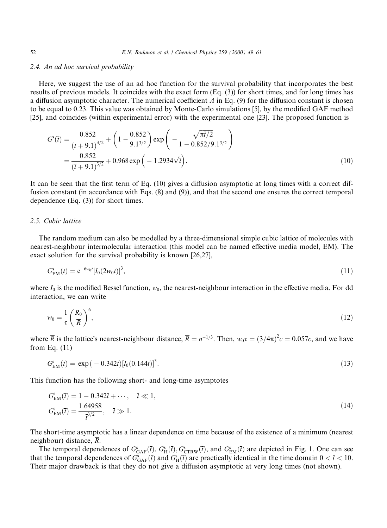# 2.4. An ad hoc survival probability

Here, we suggest the use of an ad hoc function for the survival probability that incorporates the best results of previous models. It coincides with the exact form (Eq. (3)) for short times, and for long times has a diffusion asymptotic character. The numerical coefficient  $\vec{A}$  in Eq. (9) for the diffusion constant is chosen to be equal to 0.23. This value was obtained by Monte-Carlo simulations [5], by the modified GAF method [25], and coincides (within experimental error) with the experimental one [23]. The proposed function is

$$
G^{s}(\bar{t}) = \frac{0.852}{(\bar{t} + 9.1)^{3/2}} + \left(1 - \frac{0.852}{9.1^{3/2}}\right) \exp\left(-\frac{\sqrt{\pi\bar{t}/2}}{1 - 0.852/9.1^{3/2}}\right)
$$
  
=  $\frac{0.852}{(\bar{t} + 9.1)^{3/2}} + 0.968 \exp\left(-1.2934\sqrt{\bar{t}}\right).$  (10)

It can be seen that the first term of Eq.  $(10)$  gives a diffusion asymptotic at long times with a correct diffusion constant (in accordance with Eqs. (8) and (9)), and that the second one ensures the correct temporal dependence (Eq. (3)) for short times.

# 2.5. Cubic lattice

The random medium can also be modelled by a three-dimensional simple cubic lattice of molecules with nearest-neighbour intermolecular interaction (this model can be named effective media model, EM). The exact solution for the survival probability is known [26,27],

$$
G_{\text{EM}}^{\text{s}}(t) = e^{-6w_0 t} [I_0(2w_0 t)]^3, \tag{11}
$$

where  $I_0$  is the modified Bessel function,  $w_0$ , the nearest-neighbour interaction in the effective media. For dd interaction, we can write

$$
w_0 = \frac{1}{\tau} \left(\frac{R_0}{\overline{R}}\right)^6,\tag{12}
$$

where  $\overline{R}$  is the lattice's nearest-neighbour distance,  $\overline{R} = n^{-1/3}$ . Then,  $w_0 \tau = (3/4\pi)^2 c = 0.057c$ , and we have from Eq. (11)

$$
G_{EM}^s(\bar{t}) = \exp(-0.342\bar{t}) [I_0(0.144\bar{t})]^3.
$$
\n(13)

This function has the following short- and long-time asymptotes

$$
G_{EM}^{s}(\bar{t}) = 1 - 0.342\bar{t} + \cdots, \quad \bar{t} \ll 1,
$$
  
\n
$$
G_{EM}^{s}(\bar{t}) = \frac{1.64958}{\bar{t}^{3/2}}, \quad \bar{t} \gg 1.
$$
\n(14)

The short-time asymptotic has a linear dependence on time because of the existence of a minimum (nearest neighbour) distance,  $\overline{R}$ .

The temporal dependences of  $G_{\text{GAF}}^s(\vec{t}), G_{\text{CTRW}}^s(\vec{t}),$  and  $G_{\text{EM}}^s(\vec{t})$  are depicted in Fig. 1. One can see that the temporal dependences of  $G_{\text{GAF}}^s(\vec{t})$  and  $G_{\text{H}}^s(\vec{t})$  are practically identical in the time domain  $0 < \vec{t} < 10$ . Their major drawback is that they do not give a diffusion asymptotic at very long times (not shown).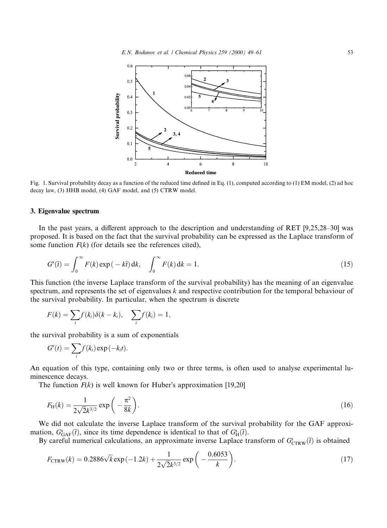

Fig. 1. Survival probability decay as a function of the reduced time defined in Eq. (1), computed according to (1) EM model, (2) ad hoc decay law, (3) HHB model, (4) GAF model, and (5) CTRW model.

# 3. Eigenvalue spectrum

In the past years, a different approach to the description and understanding of RET  $[9,25,28-30]$  was proposed. It is based on the fact that the survival probability can be expressed as the Laplace transform of some function  $F(k)$  (for details see the references cited),

$$
G^{s}(\bar{t}) = \int_{0}^{\infty} F(k) \exp(-k\bar{t}) \, \mathrm{d}k, \quad \int_{0}^{\infty} F(k) \, \mathrm{d}k = 1. \tag{15}
$$

This function (the inverse Laplace transform of the survival probability) has the meaning of an eigenvalue spectrum, and represents the set of eigenvalues  $k$  and respective contribution for the temporal behaviour of the survival probability. In particular, when the spectrum is discrete

$$
F(k) = \sum_i f(k_i) \delta(k - k_i), \quad \sum_i f(k_i) = 1,
$$

the survival probability is a sum of exponentials

$$
G^{s}(t) = \sum_{i} f(k_{i}) \exp(-k_{i}t).
$$

An equation of this type, containing only two or three terms, is often used to analyse experimental luminescence decays.

The function  $F(k)$  is well known for Huber's approximation [19,20]

$$
F_{\rm H}(k) = \frac{1}{2\sqrt{2}k^{3/2}} \exp\left(-\frac{\pi^2}{8k}\right).
$$
 (16)

We did not calculate the inverse Laplace transform of the survival probability for the GAF approximation,  $G_{\text{GAF}}^s(\vec{t})$ , since its time dependence is identical to that of  $G_{\text{H}}^s(\vec{t})$ .

By careful numerical calculations, an approximate inverse Laplace transform of  $G_{\text{CTRW}}^s(\vec{t})$  is obtained

$$
F_{\text{CTRW}}(k) = 0.2886\sqrt{k} \exp(-1.2k) + \frac{1}{2\sqrt{2}k^{3/2}} \exp\left(-\frac{0.6053}{k}\right). \tag{17}
$$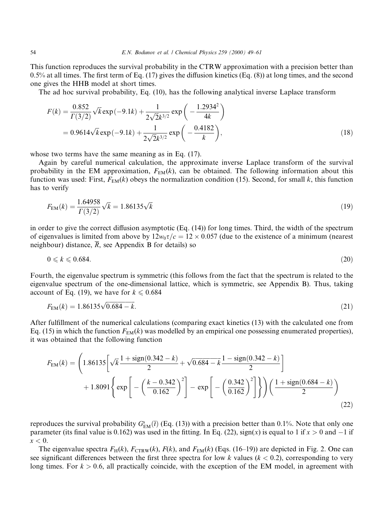This function reproduces the survival probability in the CTRW approximation with a precision better than  $0.5\%$  at all times. The first term of Eq. (17) gives the diffusion kinetics (Eq. (8)) at long times, and the second one gives the HHB model at short times.

The ad hoc survival probability, Eq. (10), has the following analytical inverse Laplace transform

$$
F(k) = \frac{0.852}{\Gamma(3/2)} \sqrt{k} \exp(-9.1k) + \frac{1}{2\sqrt{2}k^{3/2}} \exp\left(-\frac{1.2934^2}{4k}\right)
$$
  
= 0.9614 $\sqrt{k} \exp(-9.1k) + \frac{1}{2\sqrt{2}k^{3/2}} \exp\left(-\frac{0.4182}{k}\right),$  (18)

whose two terms have the same meaning as in Eq.  $(17)$ .

Again by careful numerical calculation, the approximate inverse Laplace transform of the survival probability in the EM approximation,  $F_{EM}(k)$ , can be obtained. The following information about this function was used: First,  $F_{EM}(k)$  obeys the normalization condition (15). Second, for small k, this function has to verify

$$
F_{\text{EM}}(k) = \frac{1.64958}{\Gamma(3/2)} \sqrt{k} = 1.86135 \sqrt{k} \tag{19}
$$

in order to give the correct diffusion asymptotic (Eq.  $(14)$ ) for long times. Third, the width of the spectrum of eigenvalues is limited from above by  $12w_0\tau/c = 12 \times 0.057$  (due to the existence of a minimum (nearest neighbour) distance,  $\overline{R}$ , see Appendix B for details) so

$$
0 \leqslant k \leqslant 0.684. \tag{20}
$$

Fourth, the eigenvalue spectrum is symmetric (this follows from the fact that the spectrum is related to the eigenvalue spectrum of the one-dimensional lattice, which is symmetric, see Appendix B). Thus, taking account of Eq. (19), we have for  $k \le 0.684$ 

$$
F_{\text{EM}}(k) = 1.86135\sqrt{0.684 - k}.\tag{21}
$$

After fulfillment of the numerical calculations (comparing exact kinetics  $(13)$  with the calculated one from Eq. (15) in which the function  $F_{EM}(k)$  was modelled by an empirical one possessing enumerated properties), it was obtained that the following function

$$
F_{EM}(k) = \left(1.86135\left[\sqrt{k}\frac{1+\text{sign}(0.342-k)}{2} + \sqrt{0.684-k}\frac{1-\text{sign}(0.342-k)}{2}\right] + 1.8091\left\{\exp\left[-\left(\frac{k-0.342}{0.162}\right)^2\right]-\exp\left[-\left(\frac{0.342}{0.162}\right)^2\right]\right\}\right)\left(\frac{1+\text{sign}(0.684-k)}{2}\right) \tag{22}
$$

reproduces the survival probability  $G_{EM}^s(t)$  (Eq. (13)) with a precision better than 0.1%. Note that only one parameter (its final value is 0.162) was used in the fitting. In Eq. (22), sign(x) is equal to 1 if  $x > 0$  and  $-1$  if  $x < 0$ .

The eigenvalue spectra  $F_H(k)$ ,  $F_{CTRW}(k)$ ,  $F(k)$ , and  $F_{EM}(k)$  (Eqs. (16-19)) are depicted in Fig. 2. One can see significant differences between the first three spectra for low k values ( $k < 0.2$ ), corresponding to very long times. For  $k > 0.6$ , all practically coincide, with the exception of the EM model, in agreement with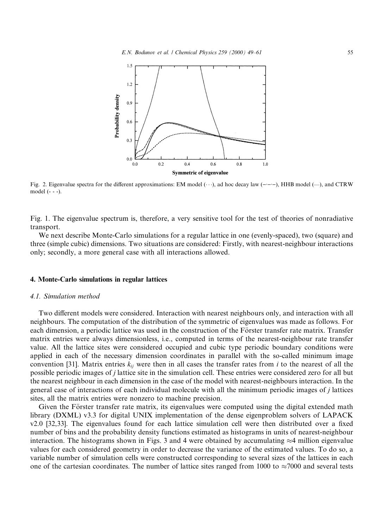

Fig. 2. Eigenvalue spectra for the different approximations: EM model ( $\cdots$ ), ad hoc decay law ( $-\cdots$ ), HHB model ( $\cdots$ ), and CTRW model (- - -).

Fig. 1. The eigenvalue spectrum is, therefore, a very sensitive tool for the test of theories of nonradiative transport.

We next describe Monte-Carlo simulations for a regular lattice in one (evenly-spaced), two (square) and three (simple cubic) dimensions. Two situations are considered: Firstly, with nearest-neighbour interactions only; secondly, a more general case with all interactions allowed.

### 4. Monte-Carlo simulations in regular lattices

# 4.1. Simulation method

Two different models were considered. Interaction with nearest neighbours only, and interaction with all neighbours. The computation of the distribution of the symmetric of eigenvalues was made as follows. For each dimension, a periodic lattice was used in the construction of the Förster transfer rate matrix. Transfer matrix entries were always dimensionless, i.e., computed in terms of the nearest-neighbour rate transfer value. All the lattice sites were considered occupied and cubic type periodic boundary conditions were applied in each of the necessary dimension coordinates in parallel with the so-called minimum image convention [31]. Matrix entries  $k_{ij}$  were then in all cases the transfer rates from i to the nearest of all the possible periodic images of j lattice site in the simulation cell. These entries were considered zero for all but the nearest neighbour in each dimension in the case of the model with nearest-neighbours interaction. In the general case of interactions of each individual molecule with all the minimum periodic images of j lattices sites, all the matrix entries were nonzero to machine precision.

Given the Förster transfer rate matrix, its eigenvalues were computed using the digital extended math library (DXML) v3.3 for digital UNIX implementation of the dense eigenproblem solvers of LAPACK  $v2.0$  [32,33]. The eigenvalues found for each lattice simulation cell were then distributed over a fixed number of bins and the probability density functions estimated as histograms in units of nearest-neighbour interaction. The histograms shown in Figs. 3 and 4 were obtained by accumulating  $\approx$ 4 million eigenvalue values for each considered geometry in order to decrease the variance of the estimated values. To do so, a variable number of simulation cells were constructed corresponding to several sizes of the lattices in each one of the cartesian coordinates. The number of lattice sites ranged from 1000 to  $\approx$ 7000 and several tests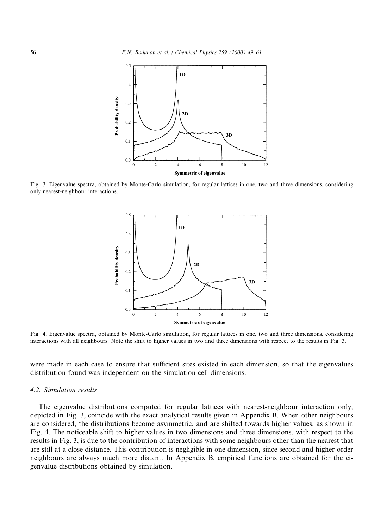

Fig. 3. Eigenvalue spectra, obtained by Monte-Carlo simulation, for regular lattices in one, two and three dimensions, considering only nearest-neighbour interactions.



Fig. 4. Eigenvalue spectra, obtained by Monte-Carlo simulation, for regular lattices in one, two and three dimensions, considering interactions with all neighbours. Note the shift to higher values in two and three dimensions with respect to the results in Fig. 3.

were made in each case to ensure that sufficient sites existed in each dimension, so that the eigenvalues distribution found was independent on the simulation cell dimensions.

# 4.2. Simulation results

The eigenvalue distributions computed for regular lattices with nearest-neighbour interaction only, depicted in Fig. 3, coincide with the exact analytical results given in Appendix B. When other neighbours are considered, the distributions become asymmetric, and are shifted towards higher values, as shown in Fig. 4. The noticeable shift to higher values in two dimensions and three dimensions, with respect to the results in Fig. 3, is due to the contribution of interactions with some neighbours other than the nearest that are still at a close distance. This contribution is negligible in one dimension, since second and higher order neighbours are always much more distant. In Appendix B, empirical functions are obtained for the eigenvalue distributions obtained by simulation.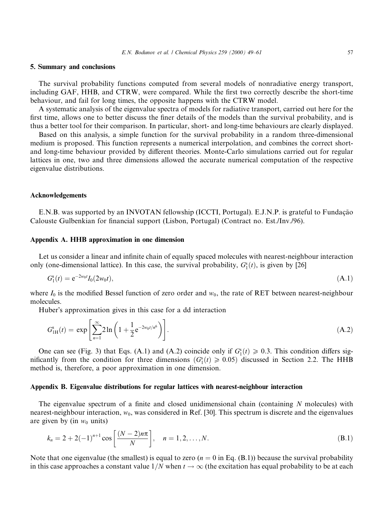# 5. Summary and conclusions

The survival probability functions computed from several models of nonradiative energy transport, including GAF, HHB, and CTRW, were compared. While the first two correctly describe the short-time behaviour, and fail for long times, the opposite happens with the CTRW model.

A systematic analysis of the eigenvalue spectra of models for radiative transport, carried out here for the first time, allows one to better discuss the finer details of the models than the survival probability, and is thus a better tool for their comparison. In particular, short- and long-time behaviours are clearly displayed.

Based on this analysis, a simple function for the survival probability in a random three-dimensional medium is proposed. This function represents a numerical interpolation, and combines the correct shortand long-time behaviour provided by different theories. Monte-Carlo simulations carried out for regular lattices in one, two and three dimensions allowed the accurate numerical computation of the respective eigenvalue distributions.

# Acknowledgements

E.N.B. was supported by an INVOTAN fellowship (ICCTI, Portugal). E.J.N.P. is grateful to Fundação Calouste Gulbenkian for financial support (Lisbon, Portugal) (Contract no. Est./Inv./96).

# Appendix A. HHB approximation in one dimension

Let us consider a linear and infinite chain of equally spaced molecules with nearest-neighbour interaction only (one-dimensional lattice). In this case, the survival probability,  $G_1^s(t)$ , is given by [26]

$$
G_1^s(t) = e^{-2w_0t} I_0(2w_0t), \tag{A.1}
$$

where  $I_0$  is the modified Bessel function of zero order and  $w_0$ , the rate of RET between nearest-neighbour molecules.

Huber's approximation gives in this case for a dd interaction

$$
G_{1H}^s(t) = \exp\left[\sum_{n=1}^{\infty} 2\ln\left(1 + \frac{1}{2} e^{-2w_0 t/n^6}\right)\right].
$$
 (A.2)

One can see (Fig. 3) that Eqs. (A.1) and (A.2) coincide only if  $G_1^s(t) \ge 0.3$ . This condition differs significantly from the condition for three dimensions ( $G_1^s(t) \ge 0.05$ ) discussed in Section 2.2. The HHB method is, therefore, a poor approximation in one dimension.

#### Appendix B. Eigenvalue distributions for regular lattices with nearest-neighbour interaction

The eigenvalue spectrum of a finite and closed unidimensional chain (containing  $N$  molecules) with nearest-neighbour interaction,  $w_0$ , was considered in Ref. [30]. This spectrum is discrete and the eigenvalues are given by (in  $w_0$  units)

$$
k_n = 2 + 2(-1)^{n+1} \cos\left[\frac{(N-2)n\pi}{N}\right], \quad n = 1, 2, ..., N.
$$
 (B.1)

Note that one eigenvalue (the smallest) is equal to zero ( $n = 0$  in Eq. (B.1)) because the survival probability in this case approaches a constant value  $1/N$  when  $t \to \infty$  (the excitation has equal probability to be at each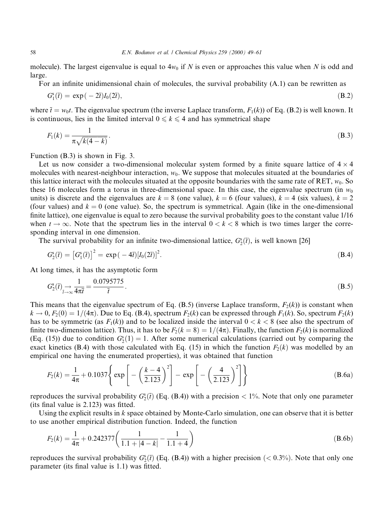molecule). The largest eigenvalue is equal to  $4w_0$  if N is even or approaches this value when N is odd and large.

For an infinite unidimensional chain of molecules, the survival probability  $(A,1)$  can be rewritten as

$$
G_1^s(\bar{t}) = \exp(-2\bar{t})I_0(2\bar{t}),\tag{B.2}
$$

where  $\overline{t} = w_0t$ . The eigenvalue spectrum (the inverse Laplace transform,  $F_1(k)$ ) of Eq. (B.2) is well known. It is continuous, lies in the limited interval  $0 \le k \le 4$  and has symmetrical shape

$$
F_1(k) = \frac{1}{\pi \sqrt{k(4-k)}}.
$$
\n(B.3)

Function (B.3) is shown in Fig. 3.

Let us now consider a two-dimensional molecular system formed by a finite square lattice of  $4 \times 4$ molecules with nearest-neighbour interaction,  $w_0$ . We suppose that molecules situated at the boundaries of this lattice interact with the molecules situated at the opposite boundaries with the same rate of RET,  $w_0$ . So these 16 molecules form a torus in three-dimensional space. In this case, the eigenvalue spectrum (in  $w_0$ ) units) is discrete and the eigenvalues are  $k = 8$  (one value),  $k = 6$  (four values),  $k = 4$  (six values),  $k = 2$ (four values) and  $k = 0$  (one value). So, the spectrum is symmetrical. Again (like in the one-dimensional finite lattice), one eigenvalue is equal to zero because the survival probability goes to the constant value  $1/16$ when  $t \to \infty$ . Note that the spectrum lies in the interval  $0 < k < 8$  which is two times larger the corresponding interval in one dimension.

The survival probability for an infinite two-dimensional lattice,  $G_2^s(\bar{t})$ , is well known [26]

$$
G_2^s(\bar{t}) = [G_1^s(\bar{t})]^2 = \exp(-4\bar{t})[I_0(2\bar{t})]^2.
$$
\n(B.4)

At long times, it has the asymptotic form

$$
G_2^s(\bar{t}) \underset{\bar{t}\to\infty}{\to} \frac{1}{4\pi\bar{t}} = \frac{0.0795775}{\bar{t}}.
$$
\n(B.5)

This means that the eigenvalue spectrum of Eq. (B.5) (inverse Laplace transform,  $F_2(k)$ ) is constant when  $k \to 0$ ,  $F_2(0) = 1/(4\pi)$ . Due to Eq. (B.4), spectrum  $F_2(k)$  can be expressed through  $F_1(k)$ . So, spectrum  $F_2(k)$ has to be symmetric (as  $F_1(k)$ ) and to be localized inside the interval  $0 < k < 8$  (see also the spectrum of finite two-dimension lattice). Thus, it has to be  $F_2(k = 8) = 1/(4\pi)$ . Finally, the function  $F_2(k)$  is normalized (Eq. (15)) due to condition  $G_2^s(1) = 1$ . After some numerical calculations (carried out by comparing the exact kinetics (B.4) with those calculated with Eq. (15) in which the function  $F_2(k)$  was modelled by an empirical one having the enumerated properties), it was obtained that function

$$
F_2(k) = \frac{1}{4\pi} + 0.1037 \left\{ \exp\left[ -\left(\frac{k-4}{2.123}\right)^2 \right] - \exp\left[ -\left(\frac{4}{2.123}\right)^2 \right] \right\}
$$
(B.6a)

reproduces the survival probability  $G_2^s(\vec{t})$  (Eq. (B.4)) with a precision  $\lt 1\%$ . Note that only one parameter  $($ its final value is 2.123 $)$  was fitted.

Using the explicit results in  $k$  space obtained by Monte-Carlo simulation, one can observe that it is better to use another empirical distribution function. Indeed, the function

$$
F_2(k) = \frac{1}{4\pi} + 0.242377 \left( \frac{1}{1.1 + |4 - k|} - \frac{1}{1.1 + 4} \right)
$$
(B.6b)

reproduces the survival probability  $G_2^s(t)$  (Eq. (B.4)) with a higher precision ( $< 0.3\%$ ). Note that only one parameter (its final value is  $1.1$ ) was fitted.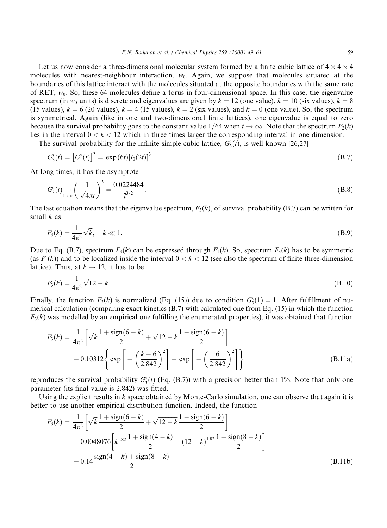Let us now consider a three-dimensional molecular system formed by a finite cubic lattice of  $4 \times 4 \times 4$ molecules with nearest-neighbour interaction,  $w_0$ . Again, we suppose that molecules situated at the boundaries of this lattice interact with the molecules situated at the opposite boundaries with the same rate of RET,  $w_0$ . So, these 64 molecules define a torus in four-dimensional space. In this case, the eigenvalue spectrum (in  $w_0$  units) is discrete and eigenvalues are given by  $k = 12$  (one value),  $k = 10$  (six values),  $k = 8$ (15 values),  $k = 6$  (20 values),  $k = 4$  (15 values),  $k = 2$  (six values), and  $k = 0$  (one value). So, the spectrum is symmetrical. Again (like in one and two-dimensional finite lattices), one eigenvalue is equal to zero because the survival probability goes to the constant value  $1/64$  when  $t \to \infty$ . Note that the spectrum  $F_2(k)$ lies in the interval  $0 < k < 12$  which in three times larger the corresponding interval in one dimension.

The survival probability for the infinite simple cubic lattice,  $G_3^s(\bar{t})$ , is well known [26,27]

$$
G_3^s(\overline{t}) = \left[G_1^s(\overline{t})\right]^3 = \exp\left(\frac{6\overline{t}}{6}\right)\left[I_0(2\overline{t})\right]^3. \tag{B.7}
$$

At long times, it has the asymptote

$$
G_3^s(\overline{t}) \underset{\overline{t} \to \infty}{\to} \left(\frac{1}{\sqrt{4\pi\overline{t}}}\right)^3 = \frac{0.0224484}{\overline{t}^{3/2}}.
$$
\n(B.8)

The last equation means that the eigenvalue spectrum,  $F_3(k)$ , of survival probability (B.7) can be written for small  $k$  as

$$
F_3(k) = \frac{1}{4\pi^2} \sqrt{k}, \quad k \ll 1.
$$
 (B.9)

Due to Eq. (B.7), spectrum  $F_3(k)$  can be expressed through  $F_1(k)$ . So, spectrum  $F_3(k)$  has to be symmetric (as  $F_1(k)$ ) and to be localized inside the interval  $0 < k < 12$  (see also the spectrum of finite three-dimension lattice). Thus, at  $k \rightarrow 12$ , it has to be

$$
F_3(k) = \frac{1}{4\pi^2} \sqrt{12 - k}.
$$
\n(B.10)

Finally, the function  $F_3(k)$  is normalized (Eq. (15)) due to condition  $G_3^s(1) = 1$ . After fulfillment of numerical calculation (comparing exact kinetics (B.7) with calculated one from Eq. (15) in which the function  $F_3(k)$  was modelled by an empirical one fulfilling the enumerated properties), it was obtained that function

$$
F_3(k) = \frac{1}{4\pi^2} \left[ \sqrt{k} \frac{1 + \text{sign}(6 - k)}{2} + \sqrt{12 - k} \frac{1 - \text{sign}(6 - k)}{2} \right] + 0.10312 \left\{ \exp \left[ -\left( \frac{k - 6}{2.842} \right)^2 \right] - \exp \left[ -\left( \frac{6}{2.842} \right)^2 \right] \right\}
$$
(B.11a)

reproduces the survival probability  $G_3^s(\vec{t})$  (Eq. (B.7)) with a precision better than 1%. Note that only one parameter (its final value is 2.842) was fitted.

Using the explicit results in  $k$  space obtained by Monte-Carlo simulation, one can observe that again it is better to use another empirical distribution function. Indeed, the function

$$
F_3(k) = \frac{1}{4\pi^2} \left[ \sqrt{k} \frac{1 + \text{sign}(6 - k)}{2} + \sqrt{12 - k} \frac{1 - \text{sign}(6 - k)}{2} \right] + 0.0048076 \left[ k^{1.82} \frac{1 + \text{sign}(4 - k)}{2} + (12 - k)^{1.82} \frac{1 - \text{sign}(8 - k)}{2} \right] + 0.14 \frac{\text{sign}(4 - k) + \text{sign}(8 - k)}{2} \tag{B.11b}
$$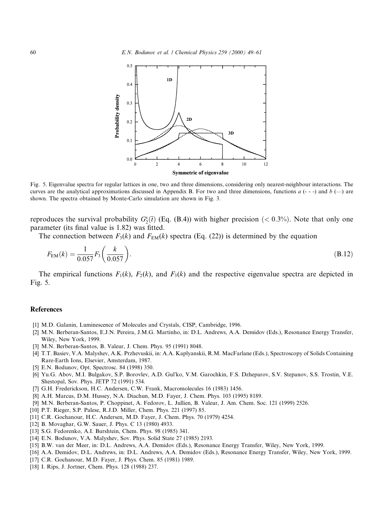

Fig. 5. Eigenvalue spectra for regular lattices in one, two and three dimensions, considering only nearest-neighbour interactions. The curves are the analytical approximations discussed in Appendix B. For two and three dimensions, functions  $a(-)$  and  $b(-)$  are shown. The spectra obtained by Monte-Carlo simulation are shown in Fig. 3.

reproduces the survival probability  $G_2^s(\bar{t})$  (Eq. (B.4)) with higher precision (< 0.3%). Note that only one parameter (its final value is 1.82) was fitted.

The connection between  $F_3(k)$  and  $F_{EM}(k)$  spectra (Eq. (22)) is determined by the equation

$$
F_{EM}(k) = \frac{1}{0.057} F_3\left(\frac{k}{0.057}\right). \tag{B.12}
$$

The empirical functions  $F_1(k)$ ,  $F_2(k)$ , and  $F_3(k)$  and the respective eigenvalue spectra are depicted in Fig. 5.

#### References

- [1] M.D. Galanin, Luminescence of Molecules and Crystals, CISP, Cambridge, 1996.
- [2] M.N. Berberan-Santos, E.J.N. Pereira, J.M.G. Martinho, in: D.L. Andrews, A.A. Demidov (Eds.), Resonance Energy Transfer, Wiley, New York, 1999.
- [3] M.N. Berberan-Santos, B. Valeur, J. Chem. Phys. 95 (1991) 8048.
- [4] T.T. Basiev, V.A. Malyshev, A.K. Przhevuskii, in: A.A. Kaplyanskii, R.M. MacFarlane (Eds.), Spectroscopy of Solids Containing Rare-Earth Ions, Elsevier, Amsterdam, 1987.
- [5] E.N. Bodunov, Opt. Spectrosc. 84 (1998) 350.
- [6] Yu.G. Abov, M.I. Bulgakov, S.P. Borovlev, A.D. Gul'ko, V.M. Garochkin, F.S. Dzheparov, S.V. Stepanov, S.S. Trostin, V.E. Shestopal, Sov. Phys. JETP 72 (1991) 534.
- [7] G.H. Frederickson, H.C. Andersen, C.W. Frank, Macromolecules 16 (1983) 1456.
- [8] A.H. Marcus, D.M. Hussey, N.A. Diachun, M.D. Fayer, J. Chem. Phys. 103 (1995) 8189.
- [9] M.N. Berberan-Santos, P. Choppinet, A. Fedorov, L. Jullien, B. Valeur, J. Am. Chem. Soc. 121 (1999) 2526.
- [10] P.T. Rieger, S.P. Palese, R.J.D. Miller, Chem. Phys. 221 (1997) 85.
- [11] C.R. Gochanour, H.C. Andersen, M.D. Fayer, J. Chem. Phys. 70 (1979) 4254.
- [12] B. Movaghar, G.W. Sauer, J. Phys. C 13 (1980) 4933.
- [13] S.G. Fedorenko, A.I. Burshtein, Chem. Phys. 98 (1985) 341.
- [14] E.N. Bodunov, V.A. Malyshev, Sov. Phys. Solid State 27 (1985) 2193.
- [15] B.W. van der Meer, in: D.L. Andrews, A.A. Demidov (Eds.), Resonance Energy Transfer, Wiley, New York, 1999.
- [16] A.A. Demidov, D.L. Andrews, in: D.L. Andrews, A.A. Demidov (Eds.), Resonance Energy Transfer, Wiley, New York, 1999.
- [17] C.R. Gochanour, M.D. Fayer, J. Phys. Chem. 85 (1981) 1989.
- [18] I. Rips, J. Jortner, Chem. Phys. 128 (1988) 237.